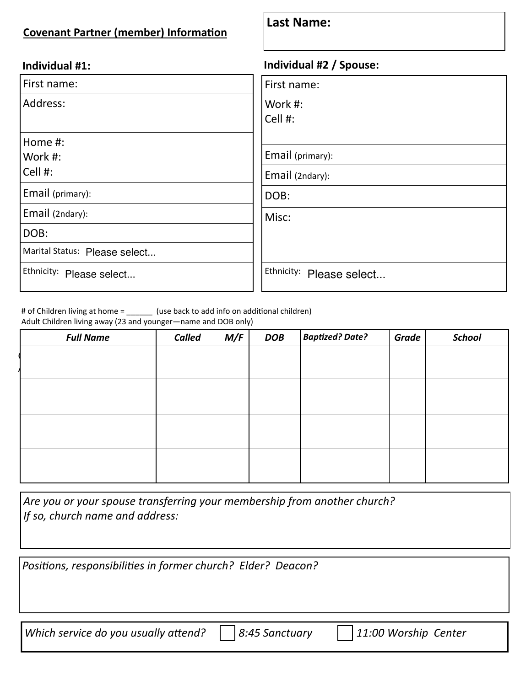## **Covenant Partner (member) Information**

## **Last Name:**

| Individual #1: |
|----------------|
|----------------|

| First name:                   | First name:              |
|-------------------------------|--------------------------|
| Address:                      | Work #:<br>Cell #:       |
| Home #:                       |                          |
| Work #:                       | Email (primary):         |
| Cell #:                       | Email (2ndary):          |
| Email (primary):              | DOB:                     |
| Email (2ndary):               | Misc:                    |
| DOB:                          |                          |
| Marital Status: Please select |                          |
| Ethnicity: Please select      | Ethnicity: Please select |

## **Individual #1: Individual #2 / Spouse:**

| First name:              |
|--------------------------|
| Work #:<br>Cell #:       |
|                          |
| Email (primary):         |
| Email (2ndary):          |
| DOB:                     |
| Misc:                    |
| Ethnicity: Please select |

# of Children living at home = \_\_\_\_\_\_ (use back to add info on additional children)

Adult Children living away (23 and younger—name and DOB only)

| <b>Full Name</b> | Called | M/F | <b>DOB</b> | <b>Baptized? Date?</b> | <b>Grade</b> | <b>School</b> |
|------------------|--------|-----|------------|------------------------|--------------|---------------|
|                  |        |     |            |                        |              |               |
|                  |        |     |            |                        |              |               |
|                  |        |     |            |                        |              |               |
|                  |        |     |            |                        |              |               |
|                  |        |     |            |                        |              |               |
|                  |        |     |            |                        |              |               |
|                  |        |     |            |                        |              |               |
|                  |        |     |            |                        |              |               |
|                  |        |     |            |                        |              |               |

*Are you or your spouse transferring your membership from another church? If so, church name and address:* 

*PosiƟons, responsibiliƟes in former church? Elder? Deacon?* 

*Which service do you usually attend?*  $\Box$  8:45 Sanctuary  $\Box$  11:00 Worship Center